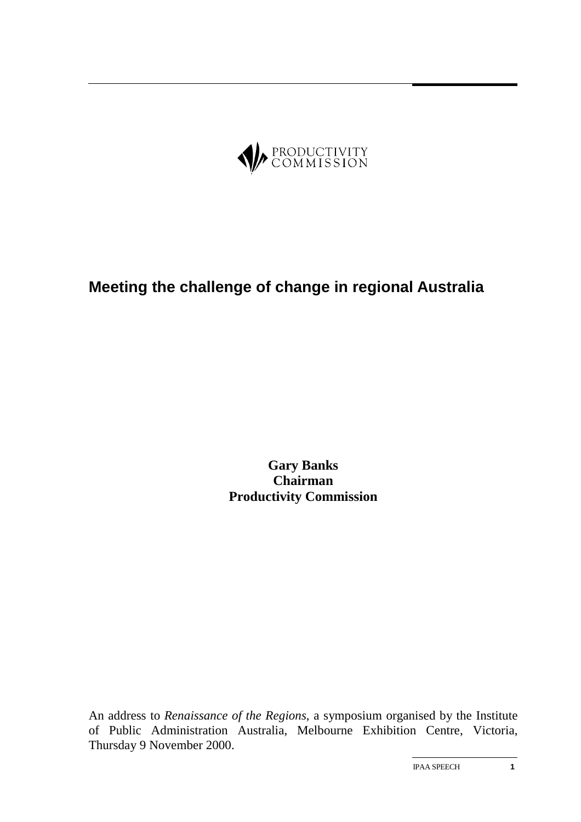

# **Meeting the challenge of change in regional Australia**

**Gary Banks Chairman Productivity Commission**

An address to *Renaissance of the Regions*, a symposium organised by the Institute of Public Administration Australia, Melbourne Exhibition Centre, Victoria, Thursday 9 November 2000.

IPAA SPEECH **1**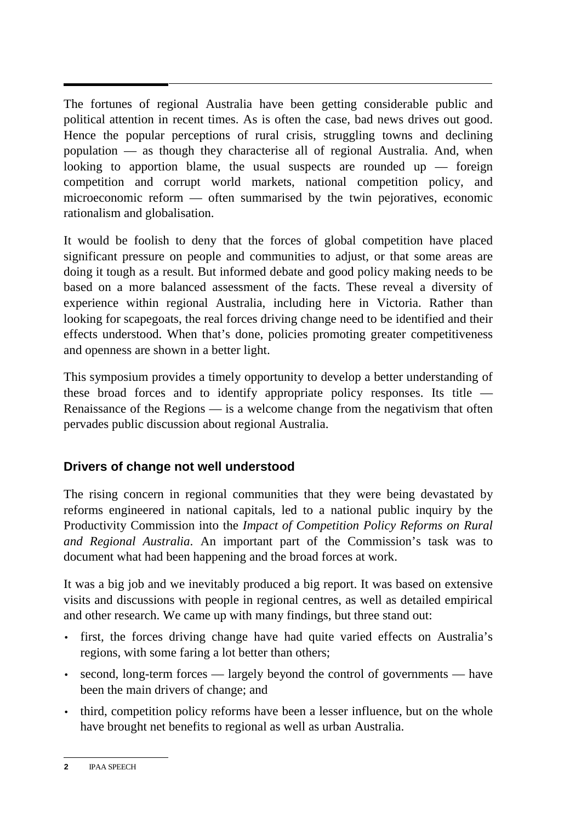The fortunes of regional Australia have been getting considerable public and political attention in recent times. As is often the case, bad news drives out good. Hence the popular perceptions of rural crisis, struggling towns and declining population — as though they characterise all of regional Australia. And, when looking to apportion blame, the usual suspects are rounded up  $-$  foreign competition and corrupt world markets, national competition policy, and microeconomic reform — often summarised by the twin pejoratives, economic rationalism and globalisation.

It would be foolish to deny that the forces of global competition have placed significant pressure on people and communities to adjust, or that some areas are doing it tough as a result. But informed debate and good policy making needs to be based on a more balanced assessment of the facts. These reveal a diversity of experience within regional Australia, including here in Victoria. Rather than looking for scapegoats, the real forces driving change need to be identified and their effects understood. When that's done, policies promoting greater competitiveness and openness are shown in a better light.

This symposium provides a timely opportunity to develop a better understanding of these broad forces and to identify appropriate policy responses. Its title — Renaissance of the Regions — is a welcome change from the negativism that often pervades public discussion about regional Australia.

## **Drivers of change not well understood**

The rising concern in regional communities that they were being devastated by reforms engineered in national capitals, led to a national public inquiry by the Productivity Commission into the *Impact of Competition Policy Reforms on Rural and Regional Australia*. An important part of the Commission's task was to document what had been happening and the broad forces at work.

It was a big job and we inevitably produced a big report. It was based on extensive visits and discussions with people in regional centres, as well as detailed empirical and other research. We came up with many findings, but three stand out:

- first, the forces driving change have had quite varied effects on Australia's regions, with some faring a lot better than others;
- second, long-term forces largely beyond the control of governments have been the main drivers of change; and
- third, competition policy reforms have been a lesser influence, but on the whole have brought net benefits to regional as well as urban Australia.

**<sup>2</sup>** IPAA SPEECH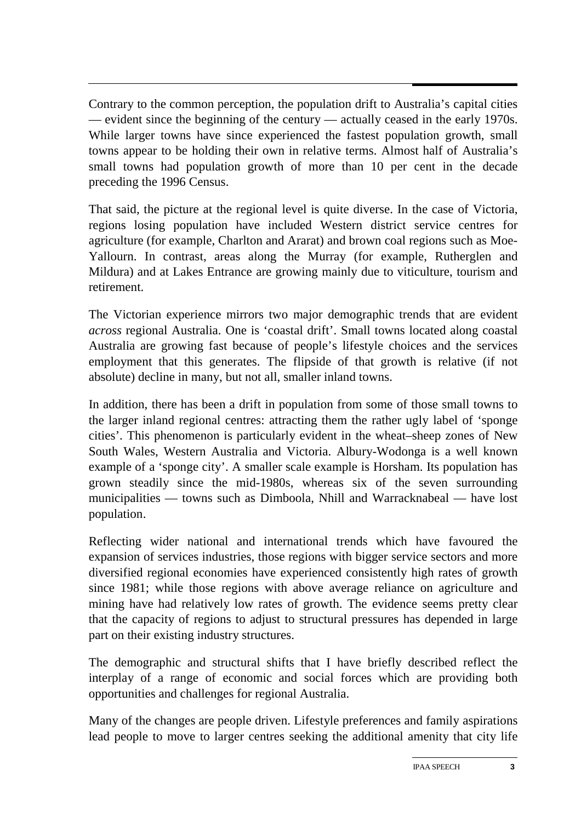Contrary to the common perception, the population drift to Australia's capital cities — evident since the beginning of the century — actually ceased in the early 1970s. While larger towns have since experienced the fastest population growth, small towns appear to be holding their own in relative terms. Almost half of Australia's small towns had population growth of more than 10 per cent in the decade preceding the 1996 Census.

That said, the picture at the regional level is quite diverse. In the case of Victoria, regions losing population have included Western district service centres for agriculture (for example, Charlton and Ararat) and brown coal regions such as Moe-Yallourn. In contrast, areas along the Murray (for example, Rutherglen and Mildura) and at Lakes Entrance are growing mainly due to viticulture, tourism and retirement.

The Victorian experience mirrors two major demographic trends that are evident *across* regional Australia. One is 'coastal drift'. Small towns located along coastal Australia are growing fast because of people's lifestyle choices and the services employment that this generates. The flipside of that growth is relative (if not absolute) decline in many, but not all, smaller inland towns.

In addition, there has been a drift in population from some of those small towns to the larger inland regional centres: attracting them the rather ugly label of 'sponge cities'. This phenomenon is particularly evident in the wheat–sheep zones of New South Wales, Western Australia and Victoria. Albury-Wodonga is a well known example of a 'sponge city'. A smaller scale example is Horsham. Its population has grown steadily since the mid-1980s, whereas six of the seven surrounding municipalities — towns such as Dimboola, Nhill and Warracknabeal — have lost population.

Reflecting wider national and international trends which have favoured the expansion of services industries, those regions with bigger service sectors and more diversified regional economies have experienced consistently high rates of growth since 1981; while those regions with above average reliance on agriculture and mining have had relatively low rates of growth. The evidence seems pretty clear that the capacity of regions to adjust to structural pressures has depended in large part on their existing industry structures.

The demographic and structural shifts that I have briefly described reflect the interplay of a range of economic and social forces which are providing both opportunities and challenges for regional Australia.

Many of the changes are people driven. Lifestyle preferences and family aspirations lead people to move to larger centres seeking the additional amenity that city life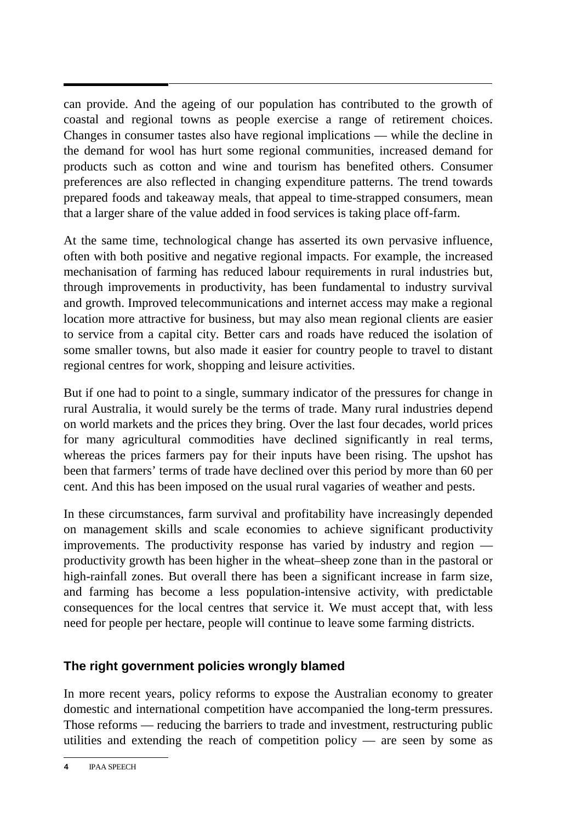can provide. And the ageing of our population has contributed to the growth of coastal and regional towns as people exercise a range of retirement choices. Changes in consumer tastes also have regional implications — while the decline in the demand for wool has hurt some regional communities, increased demand for products such as cotton and wine and tourism has benefited others. Consumer preferences are also reflected in changing expenditure patterns. The trend towards prepared foods and takeaway meals, that appeal to time-strapped consumers, mean that a larger share of the value added in food services is taking place off-farm.

At the same time, technological change has asserted its own pervasive influence, often with both positive and negative regional impacts. For example, the increased mechanisation of farming has reduced labour requirements in rural industries but, through improvements in productivity, has been fundamental to industry survival and growth. Improved telecommunications and internet access may make a regional location more attractive for business, but may also mean regional clients are easier to service from a capital city. Better cars and roads have reduced the isolation of some smaller towns, but also made it easier for country people to travel to distant regional centres for work, shopping and leisure activities.

But if one had to point to a single, summary indicator of the pressures for change in rural Australia, it would surely be the terms of trade. Many rural industries depend on world markets and the prices they bring. Over the last four decades, world prices for many agricultural commodities have declined significantly in real terms, whereas the prices farmers pay for their inputs have been rising. The upshot has been that farmers' terms of trade have declined over this period by more than 60 per cent. And this has been imposed on the usual rural vagaries of weather and pests.

In these circumstances, farm survival and profitability have increasingly depended on management skills and scale economies to achieve significant productivity improvements. The productivity response has varied by industry and region productivity growth has been higher in the wheat–sheep zone than in the pastoral or high-rainfall zones. But overall there has been a significant increase in farm size, and farming has become a less population-intensive activity, with predictable consequences for the local centres that service it. We must accept that, with less need for people per hectare, people will continue to leave some farming districts.

# **The right government policies wrongly blamed**

In more recent years, policy reforms to expose the Australian economy to greater domestic and international competition have accompanied the long-term pressures. Those reforms — reducing the barriers to trade and investment, restructuring public utilities and extending the reach of competition policy — are seen by some as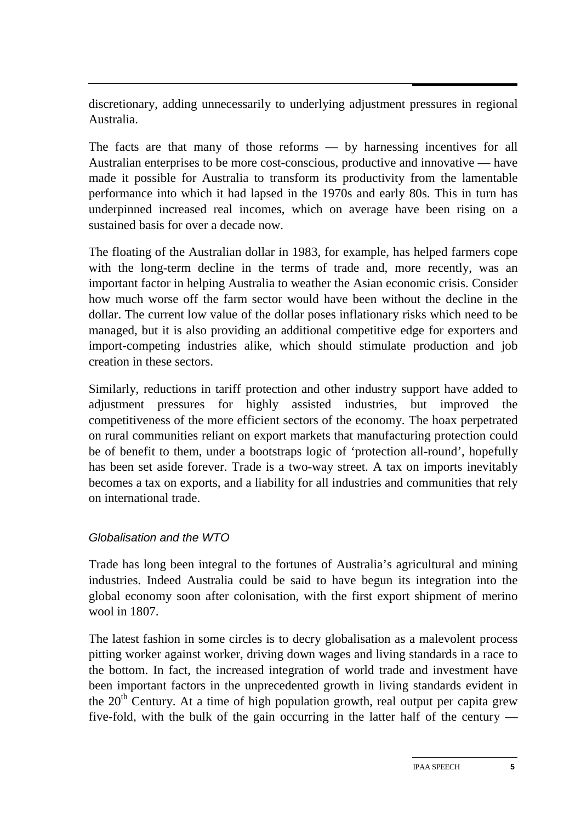discretionary, adding unnecessarily to underlying adjustment pressures in regional Australia.

The facts are that many of those reforms — by harnessing incentives for all Australian enterprises to be more cost-conscious, productive and innovative — have made it possible for Australia to transform its productivity from the lamentable performance into which it had lapsed in the 1970s and early 80s. This in turn has underpinned increased real incomes, which on average have been rising on a sustained basis for over a decade now.

The floating of the Australian dollar in 1983, for example, has helped farmers cope with the long-term decline in the terms of trade and, more recently, was an important factor in helping Australia to weather the Asian economic crisis. Consider how much worse off the farm sector would have been without the decline in the dollar. The current low value of the dollar poses inflationary risks which need to be managed, but it is also providing an additional competitive edge for exporters and import-competing industries alike, which should stimulate production and job creation in these sectors.

Similarly, reductions in tariff protection and other industry support have added to adjustment pressures for highly assisted industries, but improved the competitiveness of the more efficient sectors of the economy. The hoax perpetrated on rural communities reliant on export markets that manufacturing protection could be of benefit to them, under a bootstraps logic of 'protection all-round', hopefully has been set aside forever. Trade is a two-way street. A tax on imports inevitably becomes a tax on exports, and a liability for all industries and communities that rely on international trade.

#### Globalisation and the WTO

Trade has long been integral to the fortunes of Australia's agricultural and mining industries. Indeed Australia could be said to have begun its integration into the global economy soon after colonisation, with the first export shipment of merino wool in 1807.

The latest fashion in some circles is to decry globalisation as a malevolent process pitting worker against worker, driving down wages and living standards in a race to the bottom. In fact, the increased integration of world trade and investment have been important factors in the unprecedented growth in living standards evident in the 20<sup>th</sup> Century. At a time of high population growth, real output per capita grew five-fold, with the bulk of the gain occurring in the latter half of the century —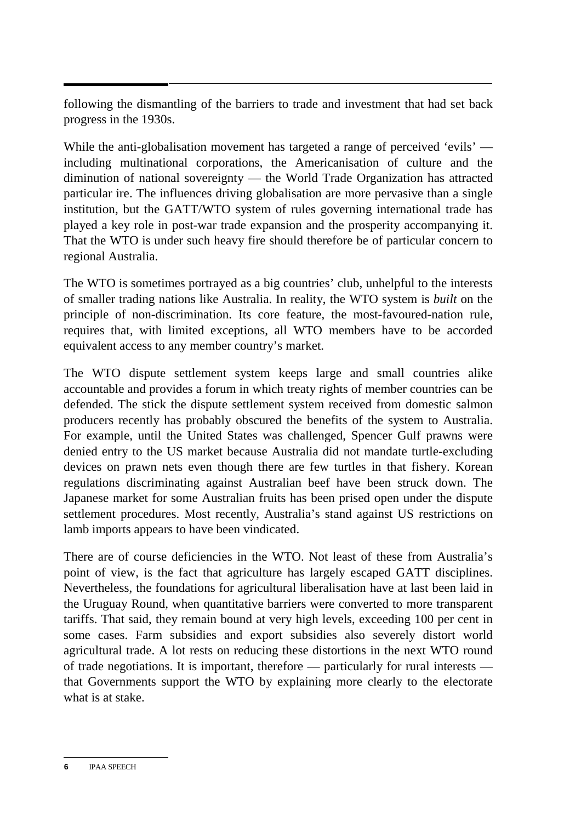following the dismantling of the barriers to trade and investment that had set back progress in the 1930s.

While the anti-globalisation movement has targeted a range of perceived 'evils' including multinational corporations, the Americanisation of culture and the diminution of national sovereignty — the World Trade Organization has attracted particular ire. The influences driving globalisation are more pervasive than a single institution, but the GATT/WTO system of rules governing international trade has played a key role in post-war trade expansion and the prosperity accompanying it. That the WTO is under such heavy fire should therefore be of particular concern to regional Australia.

The WTO is sometimes portrayed as a big countries' club, unhelpful to the interests of smaller trading nations like Australia. In reality, the WTO system is *built* on the principle of non-discrimination. Its core feature, the most-favoured-nation rule, requires that, with limited exceptions, all WTO members have to be accorded equivalent access to any member country's market.

The WTO dispute settlement system keeps large and small countries alike accountable and provides a forum in which treaty rights of member countries can be defended. The stick the dispute settlement system received from domestic salmon producers recently has probably obscured the benefits of the system to Australia. For example, until the United States was challenged, Spencer Gulf prawns were denied entry to the US market because Australia did not mandate turtle-excluding devices on prawn nets even though there are few turtles in that fishery. Korean regulations discriminating against Australian beef have been struck down. The Japanese market for some Australian fruits has been prised open under the dispute settlement procedures. Most recently, Australia's stand against US restrictions on lamb imports appears to have been vindicated.

There are of course deficiencies in the WTO. Not least of these from Australia's point of view, is the fact that agriculture has largely escaped GATT disciplines. Nevertheless, the foundations for agricultural liberalisation have at last been laid in the Uruguay Round, when quantitative barriers were converted to more transparent tariffs. That said, they remain bound at very high levels, exceeding 100 per cent in some cases. Farm subsidies and export subsidies also severely distort world agricultural trade. A lot rests on reducing these distortions in the next WTO round of trade negotiations. It is important, therefore — particularly for rural interests that Governments support the WTO by explaining more clearly to the electorate what is at stake.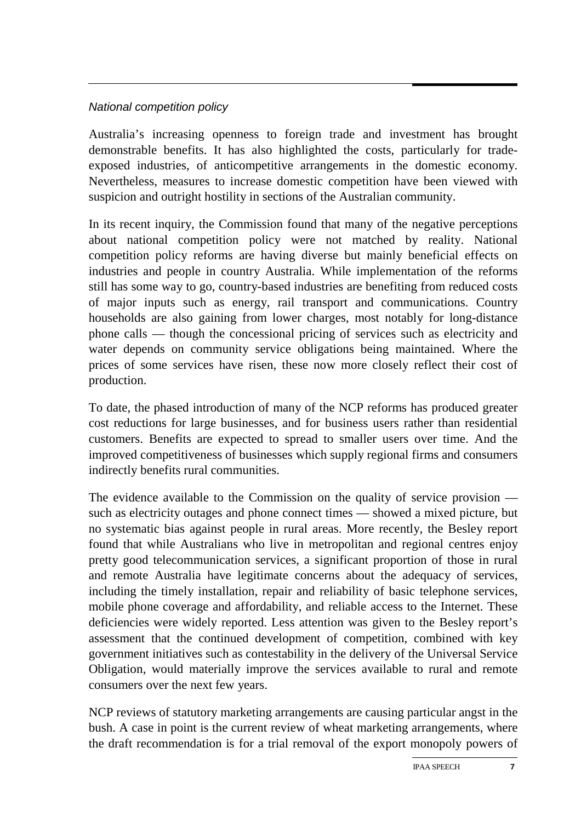### National competition policy

Australia's increasing openness to foreign trade and investment has brought demonstrable benefits. It has also highlighted the costs, particularly for tradeexposed industries, of anticompetitive arrangements in the domestic economy. Nevertheless, measures to increase domestic competition have been viewed with suspicion and outright hostility in sections of the Australian community.

In its recent inquiry, the Commission found that many of the negative perceptions about national competition policy were not matched by reality. National competition policy reforms are having diverse but mainly beneficial effects on industries and people in country Australia. While implementation of the reforms still has some way to go, country-based industries are benefiting from reduced costs of major inputs such as energy, rail transport and communications. Country households are also gaining from lower charges, most notably for long-distance phone calls — though the concessional pricing of services such as electricity and water depends on community service obligations being maintained. Where the prices of some services have risen, these now more closely reflect their cost of production.

To date, the phased introduction of many of the NCP reforms has produced greater cost reductions for large businesses, and for business users rather than residential customers. Benefits are expected to spread to smaller users over time. And the improved competitiveness of businesses which supply regional firms and consumers indirectly benefits rural communities.

The evidence available to the Commission on the quality of service provision such as electricity outages and phone connect times — showed a mixed picture, but no systematic bias against people in rural areas. More recently, the Besley report found that while Australians who live in metropolitan and regional centres enjoy pretty good telecommunication services, a significant proportion of those in rural and remote Australia have legitimate concerns about the adequacy of services, including the timely installation, repair and reliability of basic telephone services, mobile phone coverage and affordability, and reliable access to the Internet. These deficiencies were widely reported. Less attention was given to the Besley report's assessment that the continued development of competition, combined with key government initiatives such as contestability in the delivery of the Universal Service Obligation, would materially improve the services available to rural and remote consumers over the next few years.

NCP reviews of statutory marketing arrangements are causing particular angst in the bush. A case in point is the current review of wheat marketing arrangements, where the draft recommendation is for a trial removal of the export monopoly powers of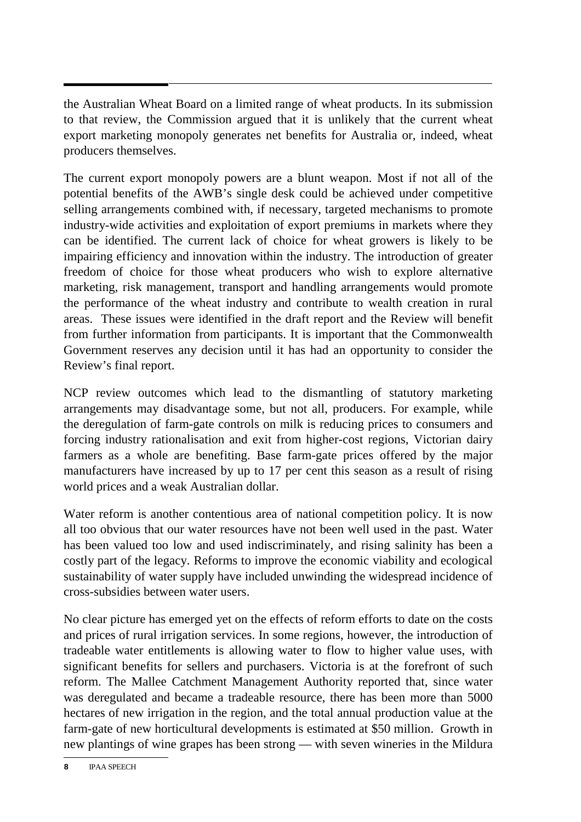the Australian Wheat Board on a limited range of wheat products. In its submission to that review, the Commission argued that it is unlikely that the current wheat export marketing monopoly generates net benefits for Australia or, indeed, wheat producers themselves.

The current export monopoly powers are a blunt weapon. Most if not all of the potential benefits of the AWB's single desk could be achieved under competitive selling arrangements combined with, if necessary, targeted mechanisms to promote industry-wide activities and exploitation of export premiums in markets where they can be identified. The current lack of choice for wheat growers is likely to be impairing efficiency and innovation within the industry. The introduction of greater freedom of choice for those wheat producers who wish to explore alternative marketing, risk management, transport and handling arrangements would promote the performance of the wheat industry and contribute to wealth creation in rural areas. These issues were identified in the draft report and the Review will benefit from further information from participants. It is important that the Commonwealth Government reserves any decision until it has had an opportunity to consider the Review's final report.

NCP review outcomes which lead to the dismantling of statutory marketing arrangements may disadvantage some, but not all, producers. For example, while the deregulation of farm-gate controls on milk is reducing prices to consumers and forcing industry rationalisation and exit from higher-cost regions, Victorian dairy farmers as a whole are benefiting. Base farm-gate prices offered by the major manufacturers have increased by up to 17 per cent this season as a result of rising world prices and a weak Australian dollar.

Water reform is another contentious area of national competition policy. It is now all too obvious that our water resources have not been well used in the past. Water has been valued too low and used indiscriminately, and rising salinity has been a costly part of the legacy. Reforms to improve the economic viability and ecological sustainability of water supply have included unwinding the widespread incidence of cross-subsidies between water users.

No clear picture has emerged yet on the effects of reform efforts to date on the costs and prices of rural irrigation services. In some regions, however, the introduction of tradeable water entitlements is allowing water to flow to higher value uses, with significant benefits for sellers and purchasers. Victoria is at the forefront of such reform. The Mallee Catchment Management Authority reported that, since water was deregulated and became a tradeable resource, there has been more than 5000 hectares of new irrigation in the region, and the total annual production value at the farm-gate of new horticultural developments is estimated at \$50 million. Growth in new plantings of wine grapes has been strong — with seven wineries in the Mildura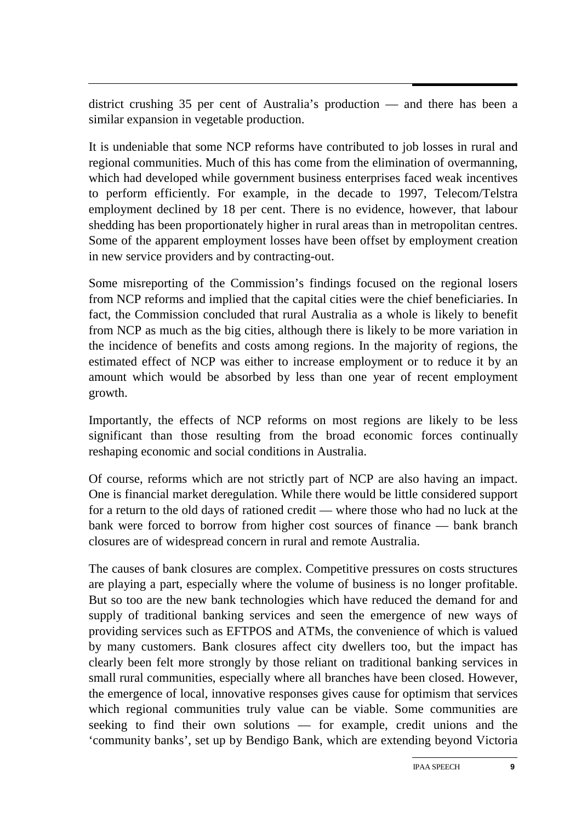district crushing 35 per cent of Australia's production — and there has been a similar expansion in vegetable production.

It is undeniable that some NCP reforms have contributed to job losses in rural and regional communities. Much of this has come from the elimination of overmanning, which had developed while government business enterprises faced weak incentives to perform efficiently. For example, in the decade to 1997, Telecom/Telstra employment declined by 18 per cent. There is no evidence, however, that labour shedding has been proportionately higher in rural areas than in metropolitan centres. Some of the apparent employment losses have been offset by employment creation in new service providers and by contracting-out.

Some misreporting of the Commission's findings focused on the regional losers from NCP reforms and implied that the capital cities were the chief beneficiaries. In fact, the Commission concluded that rural Australia as a whole is likely to benefit from NCP as much as the big cities, although there is likely to be more variation in the incidence of benefits and costs among regions. In the majority of regions, the estimated effect of NCP was either to increase employment or to reduce it by an amount which would be absorbed by less than one year of recent employment growth.

Importantly, the effects of NCP reforms on most regions are likely to be less significant than those resulting from the broad economic forces continually reshaping economic and social conditions in Australia.

Of course, reforms which are not strictly part of NCP are also having an impact. One is financial market deregulation. While there would be little considered support for a return to the old days of rationed credit — where those who had no luck at the bank were forced to borrow from higher cost sources of finance — bank branch closures are of widespread concern in rural and remote Australia.

The causes of bank closures are complex. Competitive pressures on costs structures are playing a part, especially where the volume of business is no longer profitable. But so too are the new bank technologies which have reduced the demand for and supply of traditional banking services and seen the emergence of new ways of providing services such as EFTPOS and ATMs, the convenience of which is valued by many customers. Bank closures affect city dwellers too, but the impact has clearly been felt more strongly by those reliant on traditional banking services in small rural communities, especially where all branches have been closed. However, the emergence of local, innovative responses gives cause for optimism that services which regional communities truly value can be viable. Some communities are seeking to find their own solutions — for example, credit unions and the 'community banks', set up by Bendigo Bank, which are extending beyond Victoria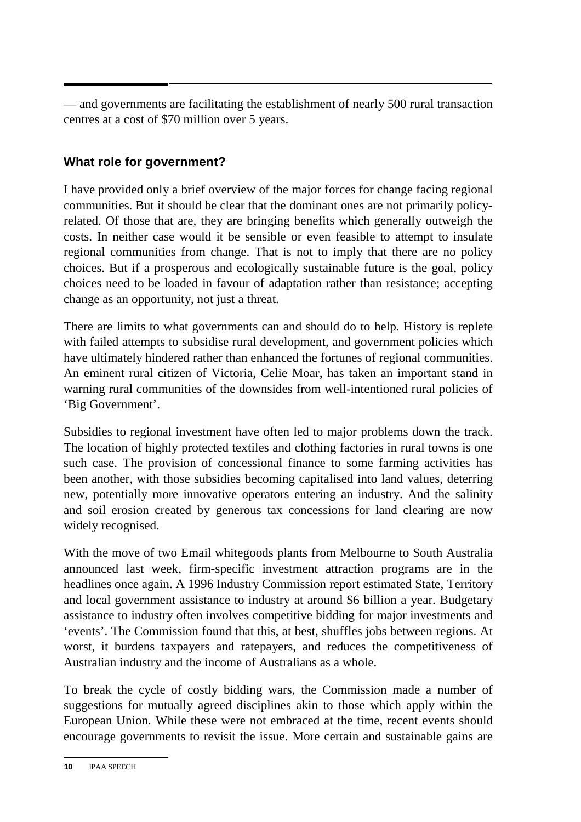— and governments are facilitating the establishment of nearly 500 rural transaction centres at a cost of \$70 million over 5 years.

# **What role for government?**

I have provided only a brief overview of the major forces for change facing regional communities. But it should be clear that the dominant ones are not primarily policyrelated. Of those that are, they are bringing benefits which generally outweigh the costs. In neither case would it be sensible or even feasible to attempt to insulate regional communities from change. That is not to imply that there are no policy choices. But if a prosperous and ecologically sustainable future is the goal, policy choices need to be loaded in favour of adaptation rather than resistance; accepting change as an opportunity, not just a threat.

There are limits to what governments can and should do to help. History is replete with failed attempts to subsidise rural development, and government policies which have ultimately hindered rather than enhanced the fortunes of regional communities. An eminent rural citizen of Victoria, Celie Moar, has taken an important stand in warning rural communities of the downsides from well-intentioned rural policies of 'Big Government'.

Subsidies to regional investment have often led to major problems down the track. The location of highly protected textiles and clothing factories in rural towns is one such case. The provision of concessional finance to some farming activities has been another, with those subsidies becoming capitalised into land values, deterring new, potentially more innovative operators entering an industry. And the salinity and soil erosion created by generous tax concessions for land clearing are now widely recognised.

With the move of two Email whitegoods plants from Melbourne to South Australia announced last week, firm-specific investment attraction programs are in the headlines once again. A 1996 Industry Commission report estimated State, Territory and local government assistance to industry at around \$6 billion a year. Budgetary assistance to industry often involves competitive bidding for major investments and 'events'. The Commission found that this, at best, shuffles jobs between regions. At worst, it burdens taxpayers and ratepayers, and reduces the competitiveness of Australian industry and the income of Australians as a whole.

To break the cycle of costly bidding wars, the Commission made a number of suggestions for mutually agreed disciplines akin to those which apply within the European Union. While these were not embraced at the time, recent events should encourage governments to revisit the issue. More certain and sustainable gains are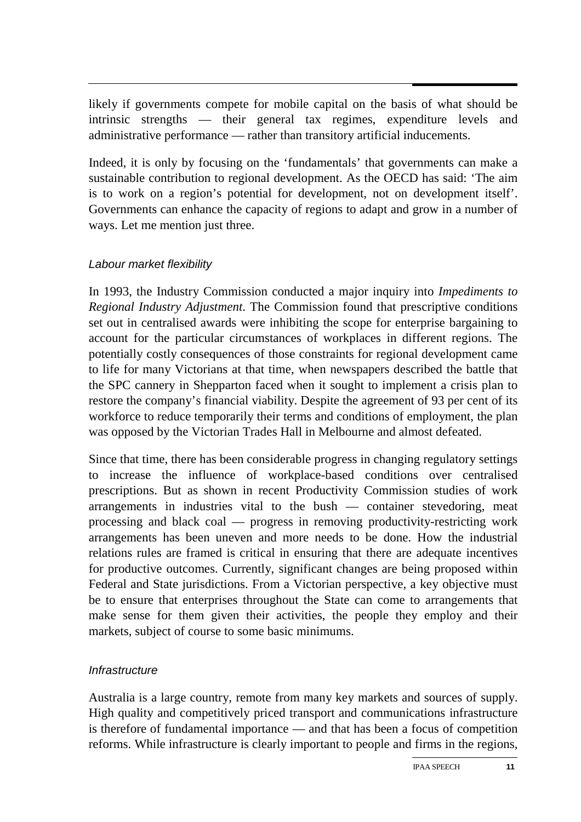likely if governments compete for mobile capital on the basis of what should be intrinsic strengths — their general tax regimes, expenditure levels and administrative performance — rather than transitory artificial inducements.

Indeed, it is only by focusing on the 'fundamentals' that governments can make a sustainable contribution to regional development. As the OECD has said: 'The aim is to work on a region's potential for development, not on development itself'. Governments can enhance the capacity of regions to adapt and grow in a number of ways. Let me mention just three.

#### Labour market flexibility

In 1993, the Industry Commission conducted a major inquiry into *Impediments to Regional Industry Adjustment*. The Commission found that prescriptive conditions set out in centralised awards were inhibiting the scope for enterprise bargaining to account for the particular circumstances of workplaces in different regions. The potentially costly consequences of those constraints for regional development came to life for many Victorians at that time, when newspapers described the battle that the SPC cannery in Shepparton faced when it sought to implement a crisis plan to restore the company's financial viability. Despite the agreement of 93 per cent of its workforce to reduce temporarily their terms and conditions of employment, the plan was opposed by the Victorian Trades Hall in Melbourne and almost defeated.

Since that time, there has been considerable progress in changing regulatory settings to increase the influence of workplace-based conditions over centralised prescriptions. But as shown in recent Productivity Commission studies of work arrangements in industries vital to the bush — container stevedoring, meat processing and black coal — progress in removing productivity-restricting work arrangements has been uneven and more needs to be done. How the industrial relations rules are framed is critical in ensuring that there are adequate incentives for productive outcomes. Currently, significant changes are being proposed within Federal and State jurisdictions. From a Victorian perspective, a key objective must be to ensure that enterprises throughout the State can come to arrangements that make sense for them given their activities, the people they employ and their markets, subject of course to some basic minimums.

#### **Infrastructure**

Australia is a large country, remote from many key markets and sources of supply. High quality and competitively priced transport and communications infrastructure is therefore of fundamental importance — and that has been a focus of competition reforms. While infrastructure is clearly important to people and firms in the regions,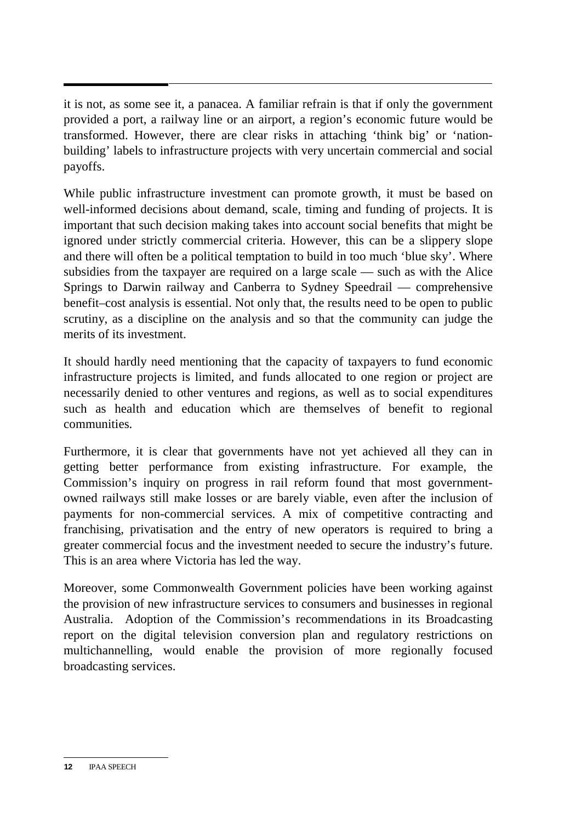it is not, as some see it, a panacea. A familiar refrain is that if only the government provided a port, a railway line or an airport, a region's economic future would be transformed. However, there are clear risks in attaching 'think big' or 'nationbuilding' labels to infrastructure projects with very uncertain commercial and social payoffs.

While public infrastructure investment can promote growth, it must be based on well-informed decisions about demand, scale, timing and funding of projects. It is important that such decision making takes into account social benefits that might be ignored under strictly commercial criteria. However, this can be a slippery slope and there will often be a political temptation to build in too much 'blue sky'. Where subsidies from the taxpayer are required on a large scale — such as with the Alice Springs to Darwin railway and Canberra to Sydney Speedrail — comprehensive benefit–cost analysis is essential. Not only that, the results need to be open to public scrutiny, as a discipline on the analysis and so that the community can judge the merits of its investment.

It should hardly need mentioning that the capacity of taxpayers to fund economic infrastructure projects is limited, and funds allocated to one region or project are necessarily denied to other ventures and regions, as well as to social expenditures such as health and education which are themselves of benefit to regional communities.

Furthermore, it is clear that governments have not yet achieved all they can in getting better performance from existing infrastructure. For example, the Commission's inquiry on progress in rail reform found that most governmentowned railways still make losses or are barely viable, even after the inclusion of payments for non-commercial services. A mix of competitive contracting and franchising, privatisation and the entry of new operators is required to bring a greater commercial focus and the investment needed to secure the industry's future. This is an area where Victoria has led the way.

Moreover, some Commonwealth Government policies have been working against the provision of new infrastructure services to consumers and businesses in regional Australia. Adoption of the Commission's recommendations in its Broadcasting report on the digital television conversion plan and regulatory restrictions on multichannelling, would enable the provision of more regionally focused broadcasting services.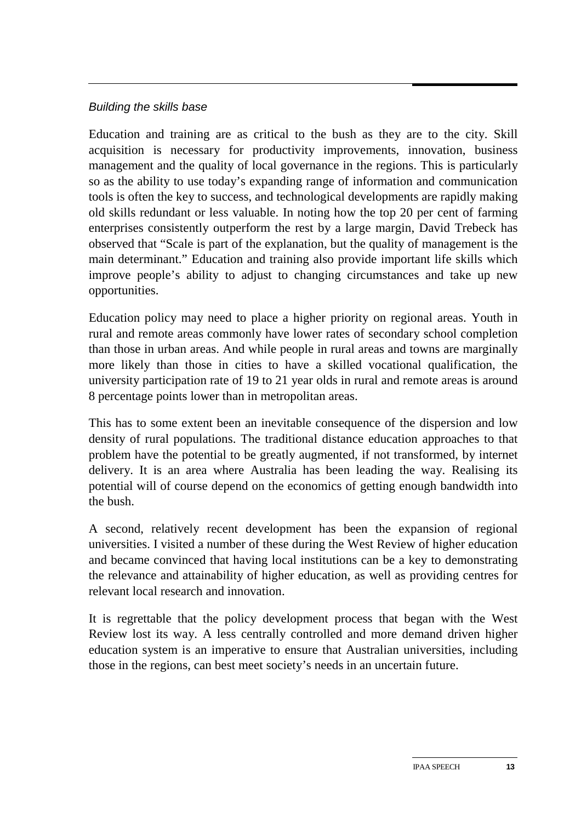#### Building the skills base

Education and training are as critical to the bush as they are to the city. Skill acquisition is necessary for productivity improvements, innovation, business management and the quality of local governance in the regions. This is particularly so as the ability to use today's expanding range of information and communication tools is often the key to success, and technological developments are rapidly making old skills redundant or less valuable. In noting how the top 20 per cent of farming enterprises consistently outperform the rest by a large margin, David Trebeck has observed that "Scale is part of the explanation, but the quality of management is the main determinant." Education and training also provide important life skills which improve people's ability to adjust to changing circumstances and take up new opportunities.

Education policy may need to place a higher priority on regional areas. Youth in rural and remote areas commonly have lower rates of secondary school completion than those in urban areas. And while people in rural areas and towns are marginally more likely than those in cities to have a skilled vocational qualification, the university participation rate of 19 to 21 year olds in rural and remote areas is around 8 percentage points lower than in metropolitan areas.

This has to some extent been an inevitable consequence of the dispersion and low density of rural populations. The traditional distance education approaches to that problem have the potential to be greatly augmented, if not transformed, by internet delivery. It is an area where Australia has been leading the way. Realising its potential will of course depend on the economics of getting enough bandwidth into the bush.

A second, relatively recent development has been the expansion of regional universities. I visited a number of these during the West Review of higher education and became convinced that having local institutions can be a key to demonstrating the relevance and attainability of higher education, as well as providing centres for relevant local research and innovation.

It is regrettable that the policy development process that began with the West Review lost its way. A less centrally controlled and more demand driven higher education system is an imperative to ensure that Australian universities, including those in the regions, can best meet society's needs in an uncertain future.